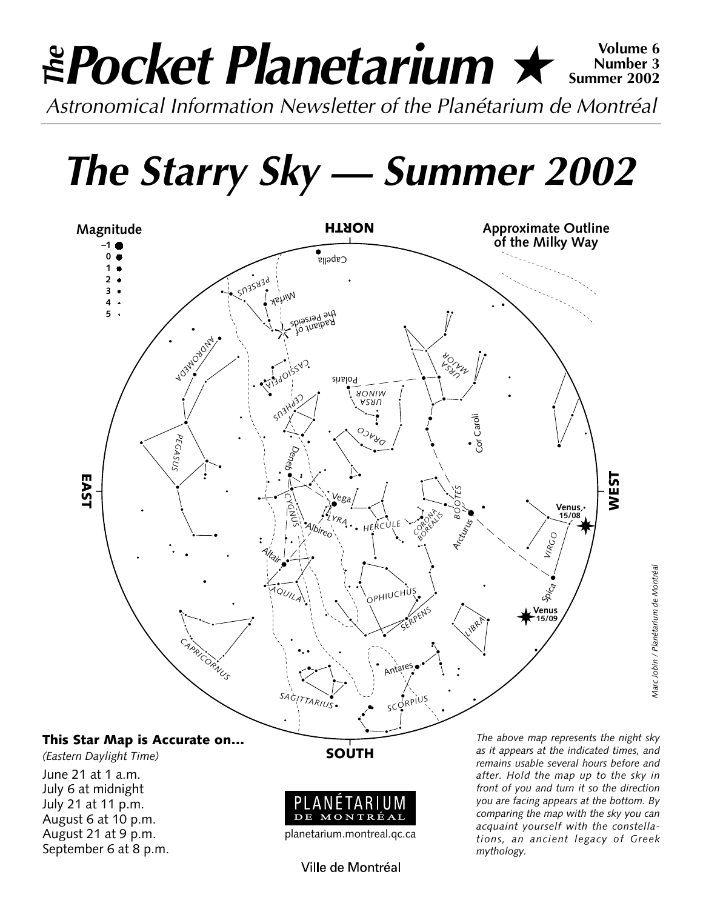## *Pocket Planetarium* ★ **Volume 6** *Astronomical Information Newsletter of the Planétarium de Montréal The***Number 3 Summer 2002**

*The Starry Sky — Summer 2002*



*(Eastern Daylight Time)* June 21 at 1 a.m. July 6 at midnight July 21 at 11 p.m. August 6 at 10 p.m. August 21 at 9 p.m. September 6 at 8 p.m. **SOUTH**



planetarium.montreal.qc.ca

Ville de Montréal

*The above map represents the night sky as it appears at the indicated times, and remains usable several hours before and after. Hold the map up to the sky in front of you and turn it so the direction you are facing appears at the bottom. By comparing the map with the sky you can acquaint yourself with the constellations, an ancient legacy of Greek mythology.*

*Marc Jobin / Planétarium de Montréal*

Marc Jobin / Planétarium de Montréal